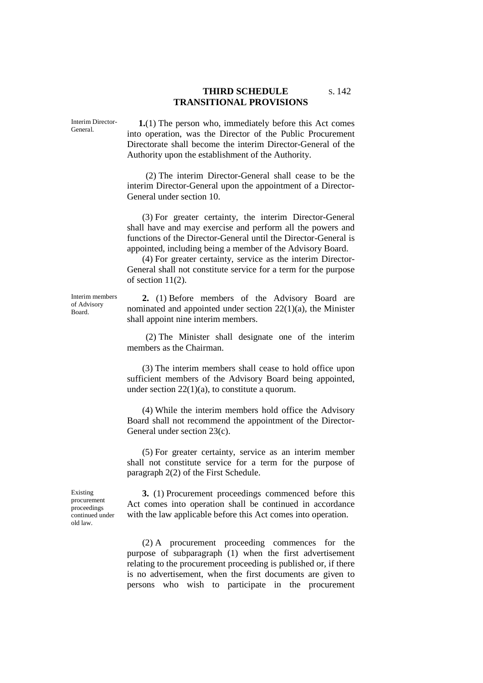## **THIRD SCHEDULE** S. 142 **TRANSITIONAL PROVISIONS**

Interim Director-General.

**1.**(1) The person who, immediately before this Act comes into operation, was the Director of the Public Procurement Directorate shall become the interim Director-General of the Authority upon the establishment of the Authority.

(2) The interim Director-General shall cease to be the interim Director-General upon the appointment of a Director-General under section 10.

(3) For greater certainty, the interim Director-General shall have and may exercise and perform all the powers and functions of the Director-General until the Director-General is appointed, including being a member of the Advisory Board.

(4) For greater certainty, service as the interim Director-General shall not constitute service for a term for the purpose of section 11(2).

Interim members of Advisory Board.

**2.** (1) Before members of the Advisory Board are nominated and appointed under section 22(1)(a), the Minister shall appoint nine interim members.

(2) The Minister shall designate one of the interim members as the Chairman.

(3) The interim members shall cease to hold office upon sufficient members of the Advisory Board being appointed, under section 22(1)(a), to constitute a quorum.

(4) While the interim members hold office the Advisory Board shall not recommend the appointment of the Director-General under section 23(c).

(5) For greater certainty, service as an interim member shall not constitute service for a term for the purpose of paragraph 2(2) of the First Schedule.

Existing procurement proceedings continued under old law.

**3.** (1) Procurement proceedings commenced before this Act comes into operation shall be continued in accordance with the law applicable before this Act comes into operation.

(2) A procurement proceeding commences for the purpose of subparagraph (1) when the first advertisement relating to the procurement proceeding is published or, if there is no advertisement, when the first documents are given to persons who wish to participate in the procurement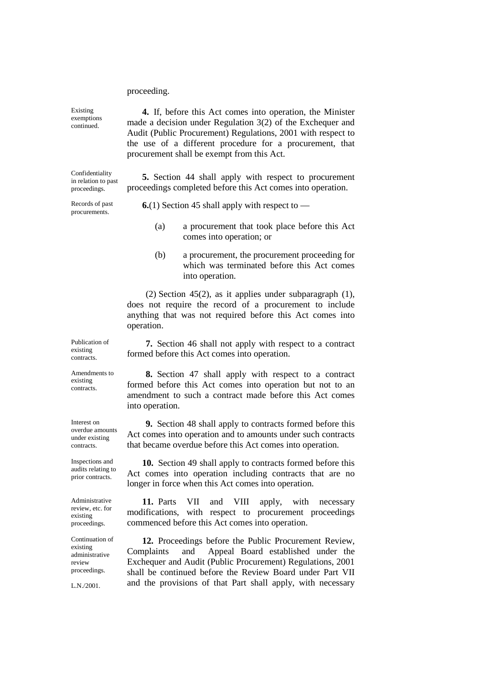proceeding.

L.N./2001.

Existing exemptions continued. **4.** If, before this Act comes into operation, the Minister made a decision under Regulation 3(2) of the Exchequer and Audit (Public Procurement) Regulations, 2001 with respect to the use of a different procedure for a procurement, that procurement shall be exempt from this Act. Confidentiality in relation to past proceedings. **5.** Section 44 shall apply with respect to procurement proceedings completed before this Act comes into operation. Records of past procurements. **6.**(1) Section 45 shall apply with respect to — (a) a procurement that took place before this Act comes into operation; or (b) a procurement, the procurement proceeding for which was terminated before this Act comes into operation. (2) Section 45(2), as it applies under subparagraph (1), does not require the record of a procurement to include anything that was not required before this Act comes into operation. Publication of existing contracts. **7.** Section 46 shall not apply with respect to a contract formed before this Act comes into operation. Amendments to existing contracts. **8.** Section 47 shall apply with respect to a contract formed before this Act comes into operation but not to an amendment to such a contract made before this Act comes into operation. Interest on overdue amounts under existing contracts. **9.** Section 48 shall apply to contracts formed before this Act comes into operation and to amounts under such contracts that became overdue before this Act comes into operation. Inspections and audits relating to prior contracts. **10.** Section 49 shall apply to contracts formed before this Act comes into operation including contracts that are no longer in force when this Act comes into operation. Administrative review, etc. for existing proceedings. **11.** Parts VII and VIII apply, with necessary modifications, with respect to procurement proceedings commenced before this Act comes into operation. Continuation of existing administrative review proceedings. **12.** Proceedings before the Public Procurement Review, Complaints and Appeal Board established under the Exchequer and Audit (Public Procurement) Regulations, 2001 shall be continued before the Review Board under Part VII and the provisions of that Part shall apply, with necessary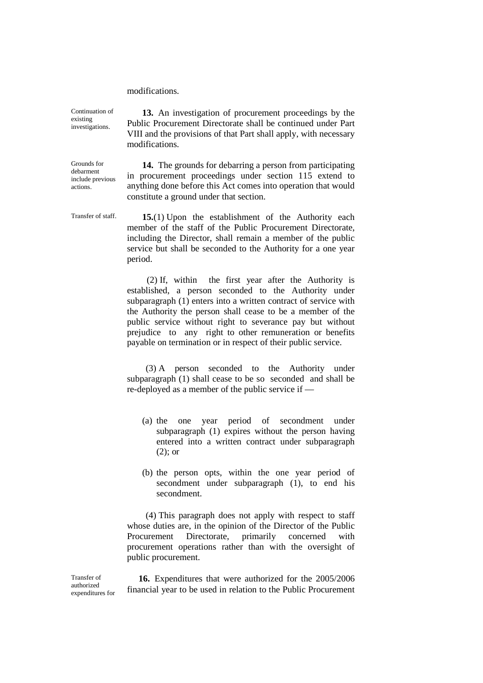modifications.

Continuation of existing investigations.

**13.** An investigation of procurement proceedings by the Public Procurement Directorate shall be continued under Part VIII and the provisions of that Part shall apply, with necessary modifications.

**14.** The grounds for debarring a person from participating in procurement proceedings under section 115 extend to anything done before this Act comes into operation that would constitute a ground under that section.

Transfer of staff. **15.**(1) Upon the establishment of the Authority each member of the staff of the Public Procurement Directorate, including the Director, shall remain a member of the public service but shall be seconded to the Authority for a one year period.

> (2) If, within the first year after the Authority is established, a person seconded to the Authority under subparagraph (1) enters into a written contract of service with the Authority the person shall cease to be a member of the public service without right to severance pay but without prejudice to any right to other remuneration or benefits payable on termination or in respect of their public service.

> (3) A person seconded to the Authority under subparagraph (1) shall cease to be so seconded and shall be re-deployed as a member of the public service if —

- (a) the one year period of secondment under subparagraph (1) expires without the person having entered into a written contract under subparagraph (2); or
- (b) the person opts, within the one year period of secondment under subparagraph (1), to end his secondment.

(4) This paragraph does not apply with respect to staff whose duties are, in the opinion of the Director of the Public Procurement Directorate, primarily concerned with procurement operations rather than with the oversight of public procurement.

**16.** Expenditures that were authorized for the 2005/2006 financial year to be used in relation to the Public Procurement

Transfer of authorized expenditures for

debarment include previous actions.

Grounds for